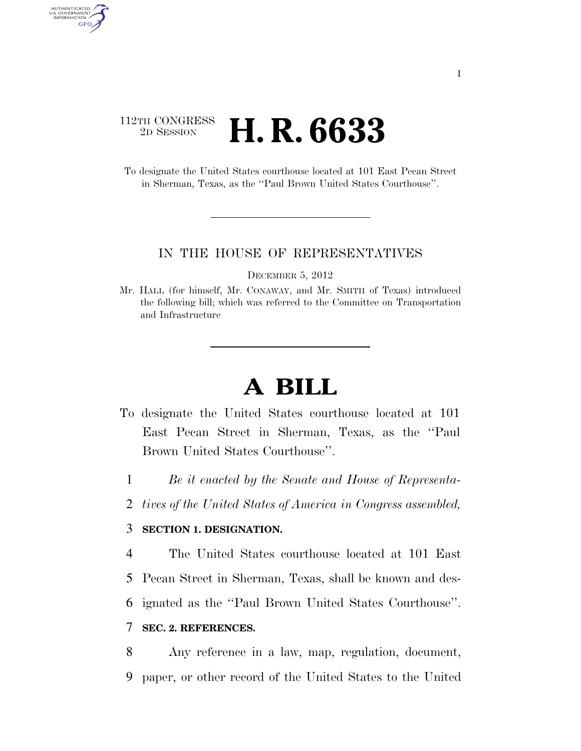## 112TH CONGRESS <sup>2D SESSION</sup> **H. R. 6633**

AUTHENTICATED U.S. GOVERNMENT GPO

> To designate the United States courthouse located at 101 East Pecan Street in Sherman, Texas, as the ''Paul Brown United States Courthouse''.

#### IN THE HOUSE OF REPRESENTATIVES

DECEMBER 5, 2012

Mr. HALL (for himself, Mr. CONAWAY, and Mr. SMITH of Texas) introduced the following bill; which was referred to the Committee on Transportation and Infrastructure

# **A BILL**

- To designate the United States courthouse located at 101 East Pecan Street in Sherman, Texas, as the ''Paul Brown United States Courthouse''.
	- 1 *Be it enacted by the Senate and House of Representa-*
	- 2 *tives of the United States of America in Congress assembled,*

### 3 **SECTION 1. DESIGNATION.**

4 The United States courthouse located at 101 East

- 5 Pecan Street in Sherman, Texas, shall be known and des-
- 6 ignated as the ''Paul Brown United States Courthouse''.

### 7 **SEC. 2. REFERENCES.**

8 Any reference in a law, map, regulation, document, 9 paper, or other record of the United States to the United